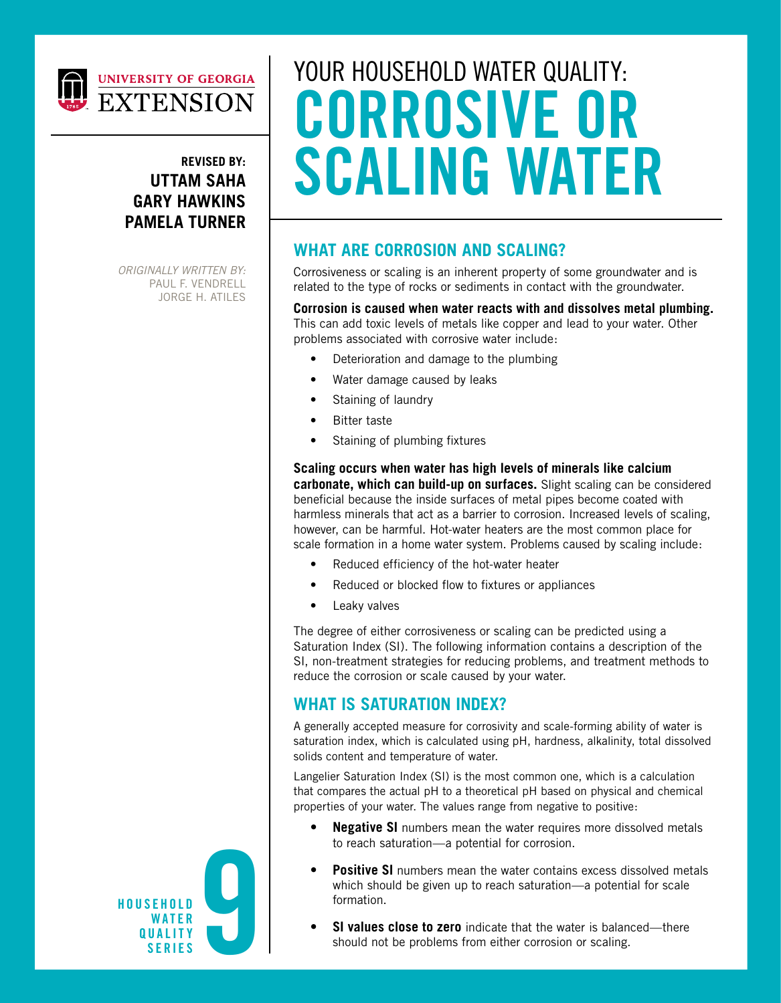

## UNIVERSITY OF GEORGIA **EXTENSION**

#### **REVISED BY: UTTAM SAHA GARY HAWKINS PAMELA TURNER**

*ORIGINALLY WRITTEN BY:* PAUL F. VENDRELL JORGE H. ATILES

# YOUR HOUSEHOLD WATER QUALITY: **CORROSIVE OR SCALING WATER**

#### **WHAT ARE CORROSION AND SCALING?**

Corrosiveness or scaling is an inherent property of some groundwater and is related to the type of rocks or sediments in contact with the groundwater.

#### **Corrosion is caused when water reacts with and dissolves metal plumbing.**

This can add toxic levels of metals like copper and lead to your water. Other problems associated with corrosive water include:

- Deterioration and damage to the plumbing
- Water damage caused by leaks
- Staining of laundry
- **Bitter taste**
- Staining of plumbing fixtures

**Scaling occurs when water has high levels of minerals like calcium carbonate, which can build-up on surfaces.** Slight scaling can be considered beneficial because the inside surfaces of metal pipes become coated with harmless minerals that act as a barrier to corrosion. Increased levels of scaling, however, can be harmful. Hot-water heaters are the most common place for scale formation in a home water system. Problems caused by scaling include:

- Reduced efficiency of the hot-water heater
- Reduced or blocked flow to fixtures or appliances
- Leaky valves

The degree of either corrosiveness or scaling can be predicted using a Saturation Index (SI). The following information contains a description of the SI, non-treatment strategies for reducing problems, and treatment methods to reduce the corrosion or scale caused by your water.

#### **WHAT IS SATURATION INDEX?**

A generally accepted measure for corrosivity and scale-forming ability of water is saturation index, which is calculated using pH, hardness, alkalinity, total dissolved solids content and temperature of water.

Langelier Saturation Index (SI) is the most common one, which is a calculation that compares the actual pH to a theoretical pH based on physical and chemical properties of your water. The values range from negative to positive:

- **• Negative SI** numbers mean the water requires more dissolved metals to reach saturation—a potential for corrosion.
- **Positive SI** numbers mean the water contains excess dissolved metals which should be given up to reach saturation—a potential for scale formation.
- **• SI values close to zero** indicate that the water is balanced—there should not be problems from either corrosion or scaling.

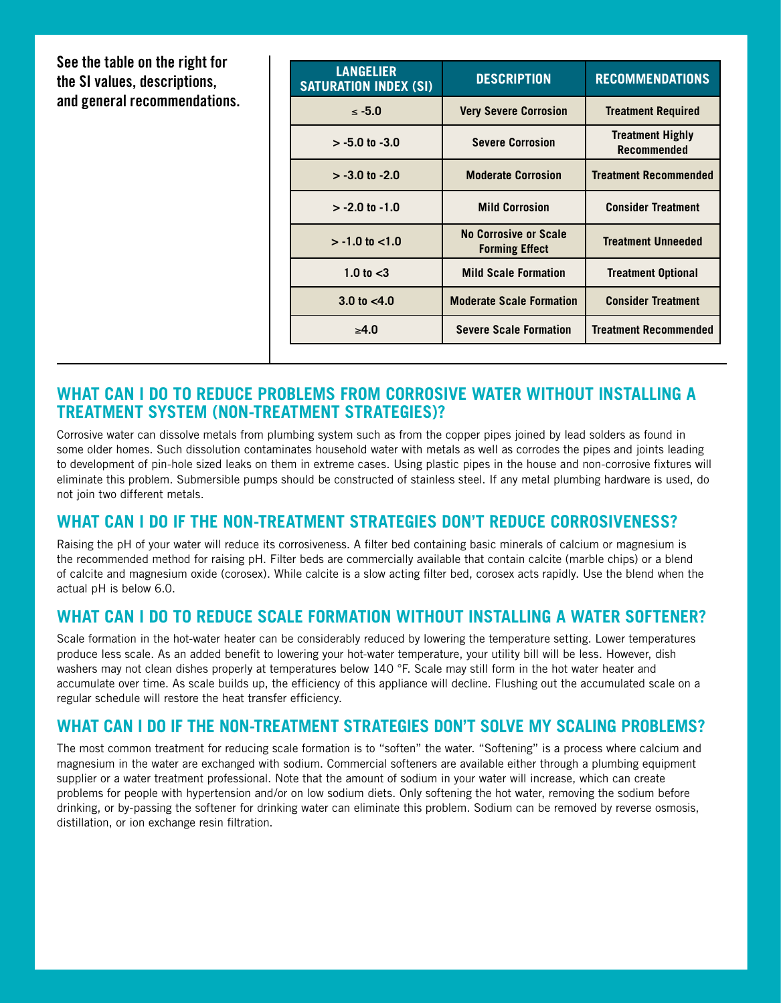**See the table on the right for the SI values, descriptions, and general recommendations.**

| <b>LANGELIER</b><br><b>SATURATION INDEX (SI)</b> | <b>DESCRIPTION</b>                                    | <b>RECOMMENDATIONS</b>                        |
|--------------------------------------------------|-------------------------------------------------------|-----------------------------------------------|
| $< -5.0$                                         | <b>Very Severe Corrosion</b>                          | <b>Treatment Required</b>                     |
| $> -5.0$ to $-3.0$                               | <b>Severe Corrosion</b>                               | <b>Treatment Highly</b><br><b>Recommended</b> |
| $> -3.0$ to $-2.0$                               | <b>Moderate Corrosion</b>                             | <b>Treatment Recommended</b>                  |
| $> -2.0$ to $-1.0$                               | <b>Mild Corrosion</b>                                 | <b>Consider Treatment</b>                     |
| $> -1.0$ to $< 1.0$                              | <b>No Corrosive or Scale</b><br><b>Forming Effect</b> | <b>Treatment Unneeded</b>                     |
| 1.0 to $<$ 3                                     | <b>Mild Scale Formation</b>                           | <b>Treatment Optional</b>                     |
| $3.0 \text{ to } 4.0$                            | <b>Moderate Scale Formation</b>                       | <b>Consider Treatment</b>                     |
| $\geq 4.0$                                       | <b>Severe Scale Formation</b>                         | <b>Treatment Recommended</b>                  |

#### **WHAT CAN I DO TO REDUCE PROBLEMS FROM CORROSIVE WATER WITHOUT INSTALLING A TREATMENT SYSTEM (NON-TREATMENT STRATEGIES)?**

Corrosive water can dissolve metals from plumbing system such as from the copper pipes joined by lead solders as found in some older homes. Such dissolution contaminates household water with metals as well as corrodes the pipes and joints leading to development of pin-hole sized leaks on them in extreme cases. Using plastic pipes in the house and non-corrosive fixtures will eliminate this problem. Submersible pumps should be constructed of stainless steel. If any metal plumbing hardware is used, do not join two different metals.

#### **WHAT CAN I DO IF THE NON-TREATMENT STRATEGIES DON'T REDUCE CORROSIVENESS?**

Raising the pH of your water will reduce its corrosiveness. A filter bed containing basic minerals of calcium or magnesium is the recommended method for raising pH. Filter beds are commercially available that contain calcite (marble chips) or a blend of calcite and magnesium oxide (corosex). While calcite is a slow acting filter bed, corosex acts rapidly. Use the blend when the actual pH is below 6.0.

#### **WHAT CAN I DO TO REDUCE SCALE FORMATION WITHOUT INSTALLING A WATER SOFTENER?**

Scale formation in the hot-water heater can be considerably reduced by lowering the temperature setting. Lower temperatures produce less scale. As an added benefit to lowering your hot-water temperature, your utility bill will be less. However, dish washers may not clean dishes properly at temperatures below 140 °F. Scale may still form in the hot water heater and accumulate over time. As scale builds up, the efficiency of this appliance will decline. Flushing out the accumulated scale on a regular schedule will restore the heat transfer efficiency.

#### **WHAT CAN I DO IF THE NON-TREATMENT STRATEGIES DON'T SOLVE MY SCALING PROBLEMS?**

The most common treatment for reducing scale formation is to "soften" the water. "Softening" is a process where calcium and magnesium in the water are exchanged with sodium. Commercial softeners are available either through a plumbing equipment supplier or a water treatment professional. Note that the amount of sodium in your water will increase, which can create problems for people with hypertension and/or on low sodium diets. Only softening the hot water, removing the sodium before drinking, or by-passing the softener for drinking water can eliminate this problem. Sodium can be removed by reverse osmosis, distillation, or ion exchange resin filtration.